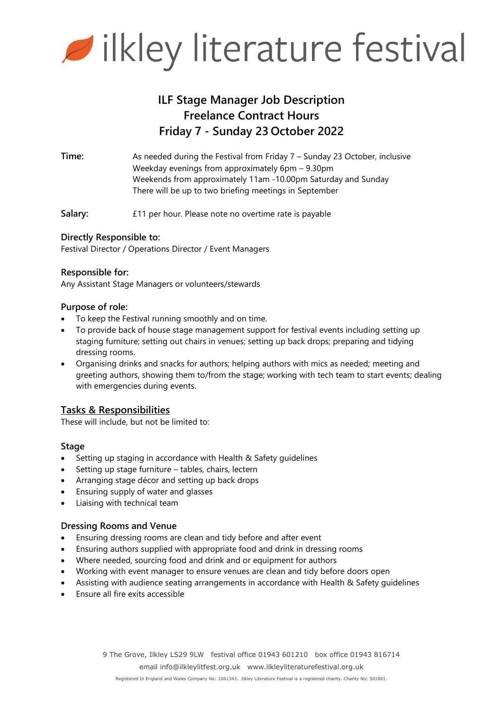

# **ILF Stage Manager Job Description Freelance Contract Hours Friday 7 - Sunday 23 October 2022**

**Time:** As needed during the Festival from Friday 7 – Sunday 23 October, inclusive Weekday evenings from approximately 6pm – 9.30pm Weekends from approximately 11am -10.00pm Saturday and Sunday There will be up to two briefing meetings in September

**Salary:** £11 per hour. Please note no overtime rate is payable

# **Directly Responsible to:**

Festival Director / Operations Director / Event Managers

### **Responsible for:**

Any Assistant Stage Managers or volunteers/stewards

### **Purpose of role:**

- To keep the Festival running smoothly and on time.
- To provide back of house stage management support for festival events including setting up staging furniture; setting out chairs in venues; setting up back drops; preparing and tidying dressing rooms.
- Organising drinks and snacks for authors; helping authors with mics as needed; meeting and greeting authors, showing them to/from the stage; working with tech team to start events; dealing with emergencies during events.

# **Tasks & Responsibilities**

These will include, but not be limited to:

#### **Stage**

- Setting up staging in accordance with Health & Safety guidelines
- Setting up stage furniture tables, chairs, lectern
- Arranging stage décor and setting up back drops
- Ensuring supply of water and glasses
- Liaising with technical team

# **Dressing Rooms and Venue**

- Ensuring dressing rooms are clean and tidy before and after event
- Ensuring authors supplied with appropriate food and drink in dressing rooms
- Where needed, sourcing food and drink and or equipment for authors
- Working with event manager to ensure venues are clean and tidy before doors open
- Assisting with audience seating arrangements in accordance with Health & Safety guidelines
- Ensure all fire exits accessible